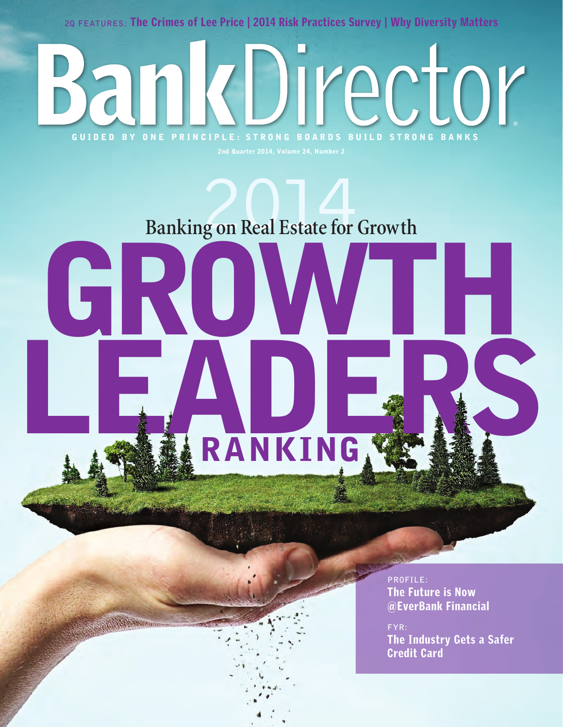**2Q FEATURES:** The Crimes of Lee Price | 2014 Risk Practices Survey | Why Diversity Matters

**BankDirector** 

## Banking on Real Estate for Growth

GUIDED BY ONE PRINCIPLE: STRONG BOARDS BUILD STRONG BANKS

GRJ

LEADERS RANKING

> **PROFILE:**  The Future is Now @EverBank Financial

**FYR:** The Industry Gets a Safer Credit Card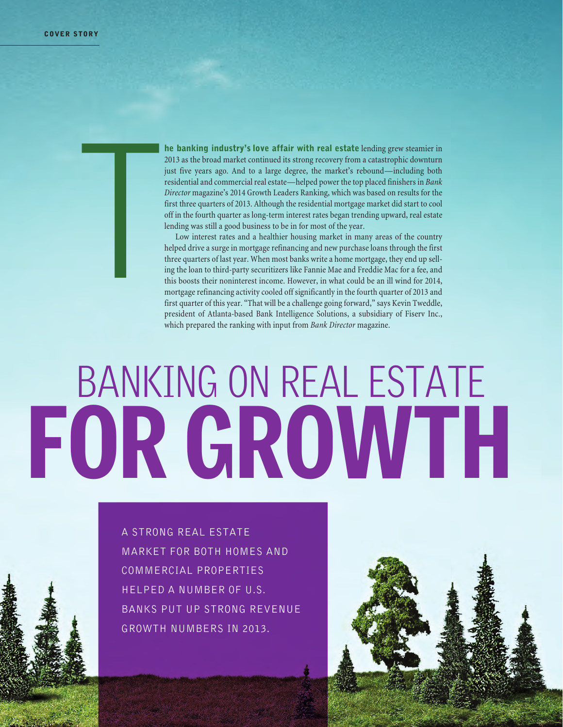he banking industry's love affair with real estate lending grew steamier in 2013 as the broad market continued its strong recovery from a catastrophic downturn just five years ago. And to a large degree, the market's rebound—including both residential and commercial real estate—helped power the top placed finishers in *Bank Director* magazine's 2014 Growth Leaders Ranking, which was based on results for the first three quarters of 2013. Although the residential mortgage market did start to cool off in the fourth quarter as long-term interest rates began trending upward, real estate lending was still a good business to be in for most of the year. T

Low interest rates and a healthier housing market in many areas of the country helped drive a surge in mortgage refinancing and new purchase loans through the first three quarters of last year. When most banks write a home mortgage, they end up selling the loan to third-party securitizers like Fannie Mae and Freddie Mac for a fee, and this boosts their noninterest income. However, in what could be an ill wind for 2014, mortgage refinancing activity cooled off significantly in the fourth quarter of 2013 and first quarter of this year. "That will be a challenge going forward," says Kevin Tweddle, president of Atlanta-based Bank Intelligence Solutions, a subsidiary of Fiserv Inc., which prepared the ranking with input from *Bank Director* magazine.

# FOR GROWTH BANKING ON REAL ESTATE

A strong real estate market for both homes and commercial properties helped a number of U.S. banks put up strong revenue growth numbers in 2013.

 $36.6$  Bank Director  $20.6$  Bank Director  $20.2$ 

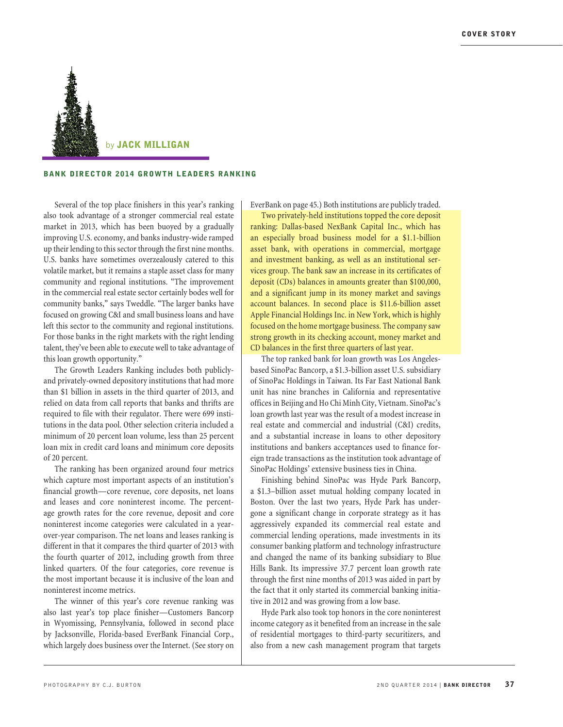

#### BANK DIRECTOR 2014 GROWTH LEADERS RANKING

Several of the top place finishers in this year's ranking also took advantage of a stronger commercial real estate market in 2013, which has been buoyed by a gradually improving U.S. economy, and banks industry-wide ramped up their lending to this sector through the first nine months. U.S. banks have sometimes overzealously catered to this volatile market, but it remains a staple asset class for many community and regional institutions. "The improvement in the commercial real estate sector certainly bodes well for community banks," says Tweddle. "The larger banks have focused on growing C&I and small business loans and have left this sector to the community and regional institutions. For those banks in the right markets with the right lending talent, they've been able to execute well to take advantage of this loan growth opportunity."

The Growth Leaders Ranking includes both publiclyand privately-owned depository institutions that had more than \$1 billion in assets in the third quarter of 2013, and relied on data from call reports that banks and thrifts are required to file with their regulator. There were 699 institutions in the data pool. Other selection criteria included a minimum of 20 percent loan volume, less than 25 percent loan mix in credit card loans and minimum core deposits of 20 percent.

The ranking has been organized around four metrics which capture most important aspects of an institution's financial growth—core revenue, core deposits, net loans and leases and core noninterest income. The percentage growth rates for the core revenue, deposit and core noninterest income categories were calculated in a yearover-year comparison. The net loans and leases ranking is different in that it compares the third quarter of 2013 with the fourth quarter of 2012, including growth from three linked quarters. Of the four categories, core revenue is the most important because it is inclusive of the loan and noninterest income metrics.

The winner of this year's core revenue ranking was also last year's top place finisher—Customers Bancorp in Wyomissing, Pennsylvania, followed in second place by Jacksonville, Florida-based EverBank Financial Corp., which largely does business over the Internet. (See story on EverBank on page 45.) Both institutions are publicly traded.

Two privately-held institutions topped the core deposit ranking: Dallas-based NexBank Capital Inc., which has an especially broad business model for a \$1.1-billion asset bank, with operations in commercial, mortgage and investment banking, as well as an institutional services group. The bank saw an increase in its certificates of deposit (CDs) balances in amounts greater than \$100,000, and a significant jump in its money market and savings account balances. In second place is \$11.6-billion asset Apple Financial Holdings Inc. in New York, which is highly focused on the home mortgage business. The company saw strong growth in its checking account, money market and CD balances in the first three quarters of last year.

The top ranked bank for loan growth was Los Angelesbased SinoPac Bancorp, a \$1.3-billion asset U.S. subsidiary of SinoPac Holdings in Taiwan. Its Far East National Bank unit has nine branches in California and representative offices in Beijing and Ho Chi Minh City, Vietnam. SinoPac's loan growth last year was the result of a modest increase in real estate and commercial and industrial (C&I) credits, and a substantial increase in loans to other depository institutions and bankers acceptances used to finance foreign trade transactions as the institution took advantage of SinoPac Holdings' extensive business ties in China.

Finishing behind SinoPac was Hyde Park Bancorp, a \$1.3–billion asset mutual holding company located in Boston. Over the last two years, Hyde Park has undergone a significant change in corporate strategy as it has aggressively expanded its commercial real estate and commercial lending operations, made investments in its consumer banking platform and technology infrastructure and changed the name of its banking subsidiary to Blue Hills Bank. Its impressive 37.7 percent loan growth rate through the first nine months of 2013 was aided in part by the fact that it only started its commercial banking initiative in 2012 and was growing from a low base.

Hyde Park also took top honors in the core noninterest income category as it benefited from an increase in the sale of residential mortgages to third-party securitizers, and also from a new cash management program that targets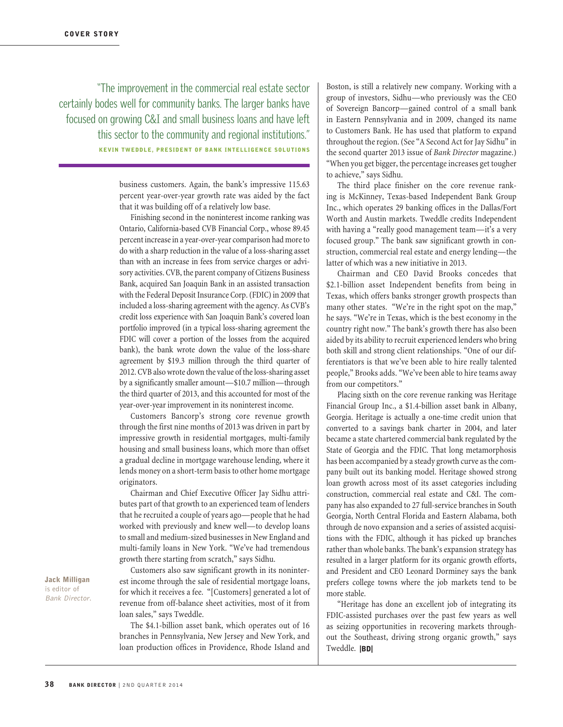"The improvement in the commercial real estate sector certainly bodes well for community banks. The larger banks have focused on growing C&I and small business loans and have left this sector to the community and regional institutions." KEVIN TWEDDLE, PRESIDENT OF BANK INTELLIGENCE SOLUTIONS

> business customers. Again, the bank's impressive 115.63 percent year-over-year growth rate was aided by the fact that it was building off of a relatively low base.

> Finishing second in the noninterest income ranking was Ontario, California-based CVB Financial Corp., whose 89.45 percent increase in a year-over-year comparison had more to do with a sharp reduction in the value of a loss-sharing asset than with an increase in fees from service charges or advisory activities. CVB, the parent company of Citizens Business Bank, acquired San Joaquin Bank in an assisted transaction with the Federal Deposit Insurance Corp. (FDIC) in 2009 that included a loss-sharing agreement with the agency. As CVB's credit loss experience with San Joaquin Bank's covered loan portfolio improved (in a typical loss-sharing agreement the FDIC will cover a portion of the losses from the acquired bank), the bank wrote down the value of the loss-share agreement by \$19.3 million through the third quarter of 2012. CVB also wrote down the value of the loss-sharing asset by a significantly smaller amount—\$10.7 million—through the third quarter of 2013, and this accounted for most of the year-over-year improvement in its noninterest income.

> Customers Bancorp's strong core revenue growth through the first nine months of 2013 was driven in part by impressive growth in residential mortgages, multi-family housing and small business loans, which more than offset a gradual decline in mortgage warehouse lending, where it lends money on a short-term basis to other home mortgage originators.

> Chairman and Chief Executive Officer Jay Sidhu attributes part of that growth to an experienced team of lenders that he recruited a couple of years ago—people that he had worked with previously and knew well—to develop loans to small and medium-sized businesses in New England and multi-family loans in New York. "We've had tremendous growth there starting from scratch," says Sidhu.

> Customers also saw significant growth in its noninterest income through the sale of residential mortgage loans, for which it receives a fee. "[Customers] generated a lot of revenue from off-balance sheet activities, most of it from loan sales," says Tweddle.

> The \$4.1-billion asset bank, which operates out of 16 branches in Pennsylvania, New Jersey and New York, and loan production offices in Providence, Rhode Island and

Boston, is still a relatively new company. Working with a group of investors, Sidhu—who previously was the CEO of Sovereign Bancorp—gained control of a small bank in Eastern Pennsylvania and in 2009, changed its name to Customers Bank. He has used that platform to expand throughout the region. (See "A Second Act for Jay Sidhu" in the second quarter 2013 issue of *Bank Director* magazine.) "When you get bigger, the percentage increases get tougher to achieve," says Sidhu.

The third place finisher on the core revenue ranking is McKinney, Texas-based Independent Bank Group Inc., which operates 29 banking offices in the Dallas/Fort Worth and Austin markets. Tweddle credits Independent with having a "really good management team—it's a very focused group." The bank saw significant growth in construction, commercial real estate and energy lending—the latter of which was a new initiative in 2013.

Chairman and CEO David Brooks concedes that \$2.1-billion asset Independent benefits from being in Texas, which offers banks stronger growth prospects than many other states. "We're in the right spot on the map," he says. "We're in Texas, which is the best economy in the country right now." The bank's growth there has also been aided by its ability to recruit experienced lenders who bring both skill and strong client relationships. "One of our differentiators is that we've been able to hire really talented people," Brooks adds. "We've been able to hire teams away from our competitors."

Placing sixth on the core revenue ranking was Heritage Financial Group Inc., a \$1.4-billion asset bank in Albany, Georgia. Heritage is actually a one-time credit union that converted to a savings bank charter in 2004, and later became a state chartered commercial bank regulated by the State of Georgia and the FDIC. That long metamorphosis has been accompanied by a steady growth curve as the company built out its banking model. Heritage showed strong loan growth across most of its asset categories including construction, commercial real estate and C&I. The company has also expanded to 27 full-service branches in South Georgia, North Central Florida and Eastern Alabama, both through de novo expansion and a series of assisted acquisitions with the FDIC, although it has picked up branches rather than whole banks. The bank's expansion strategy has resulted in a larger platform for its organic growth efforts, and President and CEO Leonard Dorminey says the bank prefers college towns where the job markets tend to be more stable.

"Heritage has done an excellent job of integrating its FDIC-assisted purchases over the past few years as well as seizing opportunities in recovering markets throughout the Southeast, driving strong organic growth," says Tweddle. |BD|

Jack Milligan is editor of Bank Director.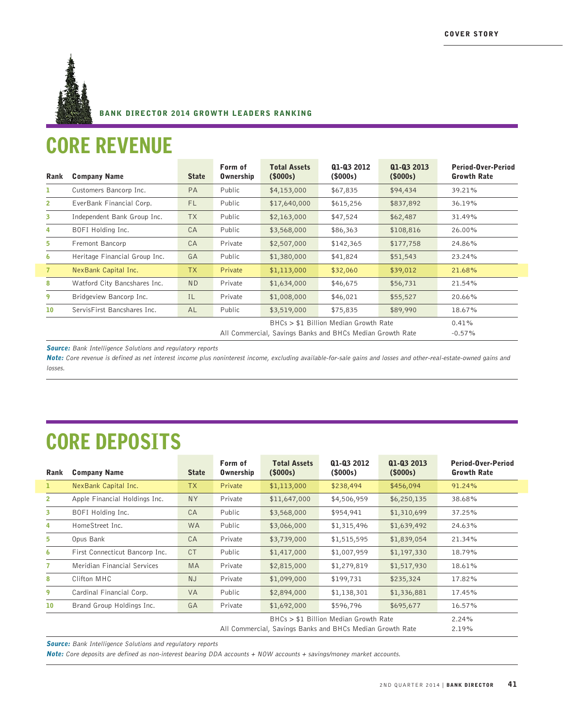

#### BANK DIRECTOR 2014 GROWTH LEADERS RANKING

#### CORE REVENUE

| Rank           | <b>Company Name</b>                                       | <b>State</b> | Form of<br><b>Ownership</b> | <b>Total Assets</b><br>(5000s) | Q1-Q3 2012<br>(5000s) | Q1-Q3 2013<br>(\$000s) | <b>Period-Over-Period</b><br><b>Growth Rate</b> |
|----------------|-----------------------------------------------------------|--------------|-----------------------------|--------------------------------|-----------------------|------------------------|-------------------------------------------------|
| ı.             | Customers Bancorp Inc.                                    | PA           | Public                      | \$4,153,000                    | \$67,835              | \$94,434               | 39.21%                                          |
| $\overline{2}$ | EverBank Financial Corp.                                  | <b>FL</b>    | Public                      | \$17,640,000                   | \$615,256             | \$837,892              | 36.19%                                          |
| 3              | Independent Bank Group Inc.                               | <b>TX</b>    | Public                      | \$2,163,000                    | \$47,524              | \$62,487               | 31.49%                                          |
| 4              | BOFI Holding Inc.                                         | CA           | Public                      | \$3,568,000                    | \$86,363              | \$108,816              | 26.00%                                          |
| 5              | Fremont Bancorp                                           | CA           | Private                     | \$2,507,000                    | \$142,365             | \$177,758              | 24.86%                                          |
| 6              | Heritage Financial Group Inc.                             | GA           | Public                      | \$1,380,000                    | \$41,824              | \$51,543               | 23.24%                                          |
| $\overline{7}$ | NexBank Capital Inc.                                      | TX           | Private                     | \$1,113,000                    | \$32,060              | \$39,012               | 21.68%                                          |
| 8              | Watford City Bancshares Inc.                              | ND.          | Private                     | \$1,634,000                    | \$46,675              | \$56,731               | 21.54%                                          |
| 9              | Bridgeview Bancorp Inc.                                   | IL           | Private                     | \$1,008,000                    | \$46,021              | \$55,527               | 20.66%                                          |
| 10             | ServisFirst Bancshares Inc.                               | AL           | Public                      | \$3,519,000                    | \$75,835              | \$89,990               | 18.67%                                          |
|                |                                                           |              |                             | 0.41%                          |                       |                        |                                                 |
|                | All Commercial, Savings Banks and BHCs Median Growth Rate |              |                             |                                |                       |                        | $-0.57\%$                                       |

**Source:** Bank Intelligence Solutions and regulatory reports

Note: Core revenue is defined as net interest income plus noninterest income, excluding available-for-sale gains and losses and other-real-estate-owned gains and losses.

## CORE DEPOSITS

| Rank         | <b>Company Name</b>            | <b>State</b> | Form of<br><b>Ownership</b>                               | <b>Total Assets</b><br>(5000s) | Q1-Q3 2012<br>(5000s) | Q1-Q3 2013<br>(5000s) | Period-Over-Period<br><b>Growth Rate</b> |
|--------------|--------------------------------|--------------|-----------------------------------------------------------|--------------------------------|-----------------------|-----------------------|------------------------------------------|
|              | NexBank Capital Inc.           | <b>TX</b>    | Private                                                   | \$1,113,000                    | \$238,494             | \$456,094             | 91.24%                                   |
| $\mathbf{2}$ | Apple Financial Holdings Inc.  | <b>NY</b>    | Private                                                   | \$11,647,000                   | \$4,506,959           | \$6,250,135           | 38.68%                                   |
| 3            | BOFI Holding Inc.              | CA           | Public                                                    | \$3,568,000                    | \$954,941             | \$1,310,699           | 37.25%                                   |
| 4            | HomeStreet Inc.                | <b>WA</b>    | Public                                                    | \$3,066,000                    | \$1,315,496           | \$1,639,492           | 24.63%                                   |
| 5            | Opus Bank                      | CA           | Private                                                   | \$3,739,000                    | \$1,515,595           | \$1,839,054           | 21.34%                                   |
| 6            | First Connecticut Bancorp Inc. | <b>CT</b>    | Public                                                    | \$1,417,000                    | \$1,007,959           | \$1,197,330           | 18.79%                                   |
|              | Meridian Financial Services    | <b>MA</b>    | Private                                                   | \$2,815,000                    | \$1,279,819           | \$1,517,930           | 18.61%                                   |
| 8            | Clifton MHC                    | <b>NJ</b>    | Private                                                   | \$1,099,000                    | \$199,731             | \$235,324             | 17.82%                                   |
| 9            | Cardinal Financial Corp.       | <b>VA</b>    | Public                                                    | \$2,894,000                    | \$1,138,301           | \$1,336,881           | 17.45%                                   |
| 10           | Brand Group Holdings Inc.      | GA           | Private                                                   | \$1,692,000                    | \$596,796             | \$695,677             | 16.57%                                   |
|              |                                |              | BHCs > \$1 Billion Median Growth Rate                     |                                |                       |                       | 2.24%                                    |
|              |                                |              | All Commercial, Savings Banks and BHCs Median Growth Rate | 2.19%                          |                       |                       |                                          |

**Source:** Bank Intelligence Solutions and regulatory reports

Note: Core deposits are defined as non-interest bearing DDA accounts + NOW accounts + savings/money market accounts.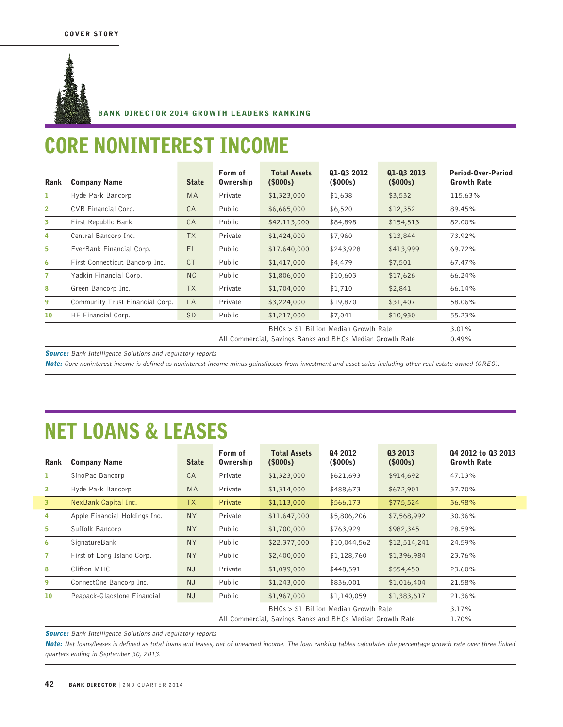

#### BANK DIRECTOR 2014 GROWTH LEADERS RANKING

#### CORE NONINTEREST INCOME

| Rank           | <b>Company Name</b>             | <b>State</b>   | Form of<br><b>Ownership</b>                               | <b>Total Assets</b><br>(\$000s)       | Q1-Q3 2012<br>(5000s) | Q1-Q3 2013<br>(\$000s) | <b>Period-Over-Period</b><br><b>Growth Rate</b> |
|----------------|---------------------------------|----------------|-----------------------------------------------------------|---------------------------------------|-----------------------|------------------------|-------------------------------------------------|
| ı              | Hyde Park Bancorp               | MA             | Private                                                   | \$1,323,000                           | \$1,638               | \$3,532                | 115.63%                                         |
| $\overline{2}$ | CVB Financial Corp.             | CA             | Public                                                    | \$6,665,000                           | \$6,520               | \$12,352               | 89.45%                                          |
| 3              | First Republic Bank             | CA             | Public                                                    | \$42,113,000                          | \$84,898              | \$154,513              | 82.00%                                          |
| 4              | Central Bancorp Inc.            | <b>TX</b>      | Private                                                   | \$1,424,000                           | \$7,960               | \$13,844               | 73.92%                                          |
| 5.             | EverBank Financial Corp.        | <b>FL</b>      | Public                                                    | \$17,640,000                          | \$243,928             | \$413,999              | 69.72%                                          |
| 6              | First Connecticut Bancorp Inc.  | <b>CT</b>      | Public                                                    | \$1,417,000                           | \$4,479               | \$7,501                | 67.47%                                          |
| $\overline{7}$ | Yadkin Financial Corp.          | N <sub>C</sub> | Public                                                    | \$1,806,000                           | \$10,603              | \$17,626               | 66.24%                                          |
| 8              | Green Bancorp Inc.              | <b>TX</b>      | Private                                                   | \$1,704,000                           | \$1,710               | \$2,841                | 66.14%                                          |
| 9              | Community Trust Financial Corp. | LA             | Private                                                   | \$3,224,000                           | \$19,870              | \$31,407               | 58.06%                                          |
| 10             | HF Financial Corp.              | SD.            | Public                                                    | \$1,217,000                           | \$7,041               | \$10,930               | 55.23%                                          |
|                |                                 |                |                                                           | BHCs > \$1 Billion Median Growth Rate | 3.01%                 |                        |                                                 |
|                |                                 |                | All Commercial, Savings Banks and BHCs Median Growth Rate | 0.49%                                 |                       |                        |                                                 |

**Source:** Bank Intelligence Solutions and regulatory reports

Note: Core noninterest income is defined as noninterest income minus gains/losses from investment and asset sales including other real estate owned (OREO).

### NET LOANS & LEASES

| Rank            | <b>Company Name</b>                                       | <b>State</b> | Form of<br><b>Ownership</b> | <b>Total Assets</b><br>(5000s) | Q4 2012<br>(\$000s) | Q3 2013<br>(\$000s) | Q4 2012 to Q3 2013<br><b>Growth Rate</b> |
|-----------------|-----------------------------------------------------------|--------------|-----------------------------|--------------------------------|---------------------|---------------------|------------------------------------------|
| ı               | SinoPac Bancorp                                           | CA           | Private                     | \$1,323,000                    | \$621,693           | \$914,692           | 47.13%                                   |
| $\overline{2}$  | Hyde Park Bancorp                                         | <b>MA</b>    | Private                     | \$1,314,000                    | \$488,673           | \$672,901           | 37.70%                                   |
| 3 <sup>7</sup>  | NexBank Capital Inc.                                      | <b>TX</b>    | Private                     | \$1,113,000                    | \$566,173           | \$775,524           | 36.98%                                   |
| 4               | Apple Financial Holdings Inc.                             | <b>NY</b>    | Private                     | \$11,647,000                   | \$5,806,206         | \$7,568,992         | 30.36%                                   |
| 5.              | Suffolk Bancorp                                           | <b>NY</b>    | Public                      | \$1,700,000                    | \$763,929           | \$982,345           | 28.59%                                   |
| 6               | <b>SignatureBank</b>                                      | <b>NY</b>    | Public                      | \$22,377,000                   | \$10,044,562        | \$12,514,241        | 24.59%                                   |
| $\mathbf{7}$    | First of Long Island Corp.                                | <b>NY</b>    | Public                      | \$2,400,000                    | \$1,128,760         | \$1,396,984         | 23.76%                                   |
| 8               | Clifton MHC                                               | NJ           | Private                     | \$1,099,000                    | \$448,591           | \$554,450           | 23.60%                                   |
| 9               | ConnectOne Bancorp Inc.                                   | <b>NJ</b>    | Public                      | \$1,243,000                    | \$836,001           | \$1,016,404         | 21.58%                                   |
| 10 <sup>°</sup> | Peapack-Gladstone Financial                               | NJ           | Public                      | \$1,967,000                    | \$1,140,059         | \$1,383,617         | 21.36%                                   |
|                 |                                                           |              |                             | 3.17%                          |                     |                     |                                          |
|                 | All Commercial, Savings Banks and BHCs Median Growth Rate |              |                             |                                |                     |                     | 1.70%                                    |

**Source:** Bank Intelligence Solutions and regulatory reports

Note: Net loans/leases is defined as total loans and leases, net of unearned income. The loan ranking tables calculates the percentage growth rate over three linked quarters ending in September 30, 2013.